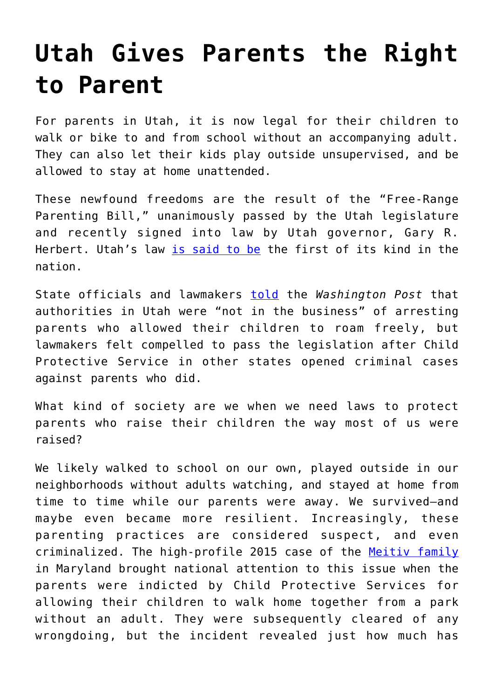## **[Utah Gives Parents the Right](https://intellectualtakeout.org/2018/03/utah-gives-parents-the-right-to-parent/) [to Parent](https://intellectualtakeout.org/2018/03/utah-gives-parents-the-right-to-parent/)**

For parents in Utah, it is now legal for their children to walk or bike to and from school without an accompanying adult. They can also let their kids play outside unsupervised, and be allowed to stay at home unattended.

These newfound freedoms are the result of the "Free-Range Parenting Bill," unanimously passed by the Utah legislature and recently signed into law by Utah governor, Gary R. Herbert. Utah's law [is said to be](https://www.washingtonpost.com/news/morning-mix/wp/2018/03/28/utahs-free-range-parenting-law-said-to-be-first-in-the-nation/?utm_term=.5e8c5fc5da1a) the first of its kind in the nation.

State officials and lawmakers [told](https://www.washingtonpost.com/news/morning-mix/wp/2018/03/28/utahs-free-range-parenting-law-said-to-be-first-in-the-nation/?utm_term=.4f036c88e607) the *Washington Post* that authorities in Utah were "not in the business" of arresting parents who allowed their children to roam freely, but lawmakers felt compelled to pass the legislation after Child Protective Service in other states opened criminal cases against parents who did.

What kind of society are we when we need laws to protect parents who raise their children the way most of us were raised?

We likely walked to school on our own, played outside in our neighborhoods without adults watching, and stayed at home from time to time while our parents were away. We survived—and maybe even became more resilient. Increasingly, these parenting practices are considered suspect, and even criminalized. The high-profile 2015 case of the [Meitiv family](https://www.today.com/parents/maryland-free-range-parents-cleared-neglect-t27901) in Maryland brought national attention to this issue when the parents were indicted by Child Protective Services for allowing their children to walk home together from a park without an adult. They were subsequently cleared of any wrongdoing, but the incident revealed just how much has